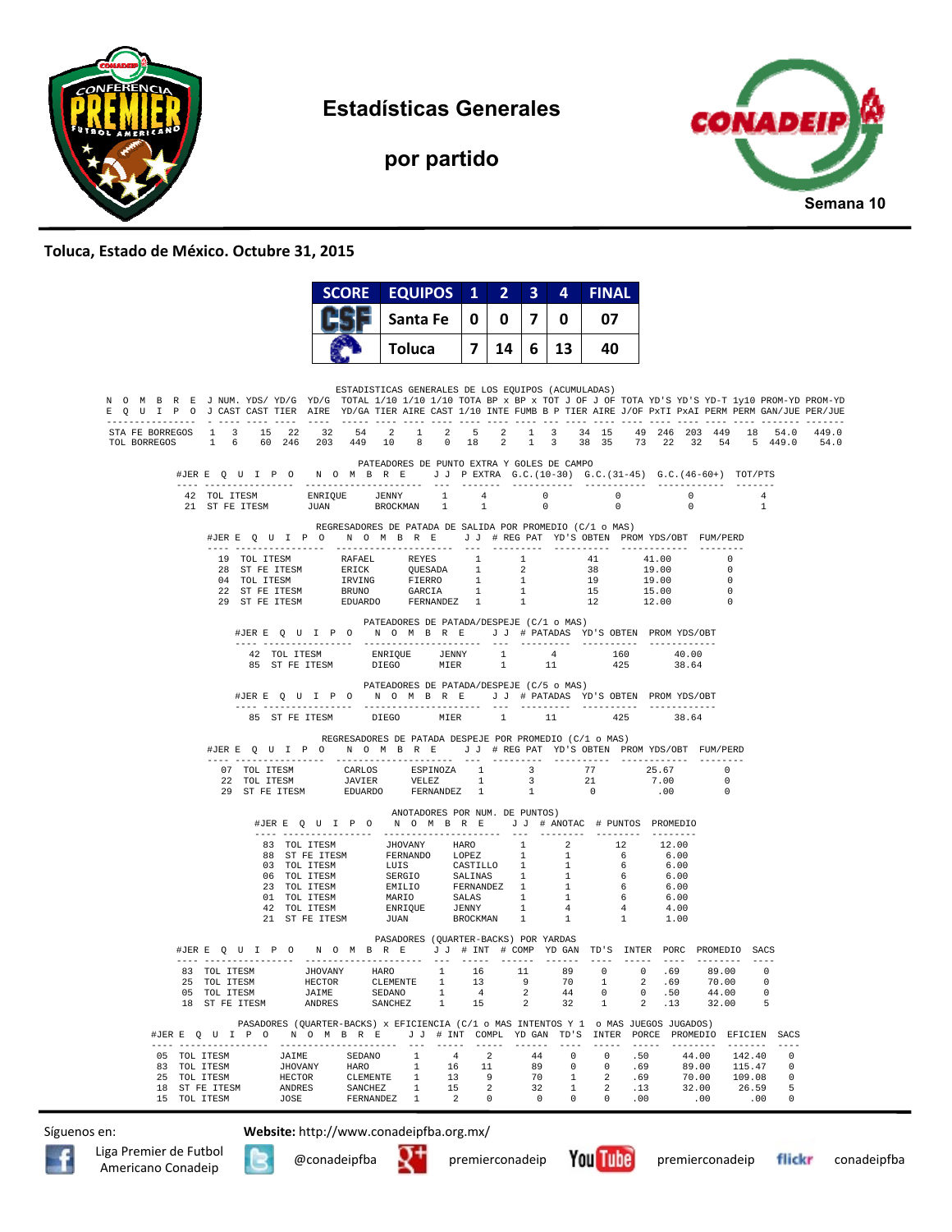

**Estadísticas Generales** 

**por partido** 



## **Toluca, Estado de México. Octubre 31, 2015**

|                                                                                                                                                                                                                                                             |              |                                                                                                                                                                                                                                                                                                                                             |                                                     |                                  |                | <b>SCORE EQUIPOS</b>                                                                                                                                                                                                                                                                                                                                                           |                                                              | $\mathbf{1}$         | 2                                                      | $\overline{\mathbf{3}}$                          | 4                                                                             | <b>FINAL</b>                            |                                               |                                                               |                                                                                |                                  |                                               |
|-------------------------------------------------------------------------------------------------------------------------------------------------------------------------------------------------------------------------------------------------------------|--------------|---------------------------------------------------------------------------------------------------------------------------------------------------------------------------------------------------------------------------------------------------------------------------------------------------------------------------------------------|-----------------------------------------------------|----------------------------------|----------------|--------------------------------------------------------------------------------------------------------------------------------------------------------------------------------------------------------------------------------------------------------------------------------------------------------------------------------------------------------------------------------|--------------------------------------------------------------|----------------------|--------------------------------------------------------|--------------------------------------------------|-------------------------------------------------------------------------------|-----------------------------------------|-----------------------------------------------|---------------------------------------------------------------|--------------------------------------------------------------------------------|----------------------------------|-----------------------------------------------|
|                                                                                                                                                                                                                                                             |              |                                                                                                                                                                                                                                                                                                                                             |                                                     |                                  |                | Santa Fe                                                                                                                                                                                                                                                                                                                                                                       |                                                              | 0                    | 0                                                      | 7                                                | 0                                                                             | 07                                      |                                               |                                                               |                                                                                |                                  |                                               |
|                                                                                                                                                                                                                                                             |              |                                                                                                                                                                                                                                                                                                                                             |                                                     |                                  |                | Toluca                                                                                                                                                                                                                                                                                                                                                                         |                                                              | 7                    | 14 I                                                   |                                                  | 6 13                                                                          | 40.                                     |                                               |                                                               |                                                                                |                                  |                                               |
| N O M B R E J NUM. YDS/YD/G YD/G TOTAL 1/10 1/10 1/10 TOTA BP x BP x TOT J OF J OF TOTA YD'S YD'S YD-T 1y10 PROM-YD PROM-YD<br>E Q U I P O J CAST CAST TIER AIRE YD/GA TIER AIRE CAST 1/10 INTE FUMB B P TIER AIRE J/OF PxTI PxAI PERM PERM GAN/JUE PER/JUE |              |                                                                                                                                                                                                                                                                                                                                             |                                                     |                                  |                | ESTADISTICAS GENERALES DE LOS EQUIPOS (ACUMULADAS)                                                                                                                                                                                                                                                                                                                             |                                                              |                      |                                                        |                                                  |                                                                               |                                         |                                               |                                                               |                                                                                |                                  |                                               |
| STA FE BORREGOS 1 3 15 22 32 54 2 1 2 5 2 1 3 34 15 49 246 203 449 18 54.0 449.0<br>TOL BORREGOS 1 6 60 246 203 449 10 8 0 18 2 1 3 38 35 73 22 32 54 5 449.0 54.0                                                                                          |              |                                                                                                                                                                                                                                                                                                                                             |                                                     |                                  |                |                                                                                                                                                                                                                                                                                                                                                                                |                                                              |                      |                                                        |                                                  |                                                                               |                                         |                                               |                                                               |                                                                                |                                  |                                               |
|                                                                                                                                                                                                                                                             |              | #JERE OUIPO NOMBRE JJPEXTRA G.C. (10-30) G.C. (31-45) G.C. (46-60+) TOT/PTS                                                                                                                                                                                                                                                                 |                                                     |                                  |                | PATEADORES DE PUNTO EXTRA Y GOLES DE CAMPO                                                                                                                                                                                                                                                                                                                                     |                                                              |                      |                                                        |                                                  |                                                                               |                                         |                                               |                                                               |                                                                                |                                  |                                               |
|                                                                                                                                                                                                                                                             |              | $\begin{tabular}{lcccc} 42 & TOL ITESM & & & ENRIQUE & & JENNY & & 1 & & 4 \\ 21 & ST FE ITESM & & & JUAN & & & BROCKMAN & 1 & & 1 \\ \end{tabular}$                                                                                                                                                                                        |                                                     |                                  |                |                                                                                                                                                                                                                                                                                                                                                                                |                                                              | 1                    |                                                        | $\overline{0}$<br>$\sim$ 0                       |                                                                               | $\sim$ 0<br>$\Omega$                    |                                               | $\sim$ 0<br>$\bigcap$                                         |                                                                                | 4<br>$\overline{1}$              |                                               |
|                                                                                                                                                                                                                                                             |              | #JERE Q U I P O N O M B R E J J # REG PAT YD'S OBTEN PROMYDS/OBT FUM/PERD                                                                                                                                                                                                                                                                   |                                                     |                                  |                | REGRESADORES DE PATADA DE SALIDA POR PROMEDIO (C/1 o MAS)                                                                                                                                                                                                                                                                                                                      |                                                              |                      |                                                        |                                                  |                                                                               |                                         |                                               |                                                               |                                                                                |                                  |                                               |
|                                                                                                                                                                                                                                                             |              | $\begin{tabular}{cccccc} 19 & TOL ITESM & RAPAEL & REYES & 1 & 1 & 41 & 41.00 \\ 28 & ST FE ITESM & ERICK & QUESTADA & 1 & 2 & 38 & 19.00 \\ 04 & TOL ITESM & IRVING & FIERR & 1 & 1 & 19 & 19.00 \\ 22 & ST FE ITESM & RRUNG & FIERR & 1 & 1 & 15 & 15.00 \\ 29 & ST FE ITESM & EDUARDO & FERNANDEZ & 1 & 1 & 12 & 12.00 \\ \end{tabular}$ |                                                     |                                  |                |                                                                                                                                                                                                                                                                                                                                                                                |                                                              |                      |                                                        |                                                  |                                                                               |                                         |                                               |                                                               | $\overline{0}$<br>$\overline{0}$<br>$\overline{\phantom{0}}$<br>$\overline{0}$ |                                  |                                               |
|                                                                                                                                                                                                                                                             |              |                                                                                                                                                                                                                                                                                                                                             |                                                     |                                  |                |                                                                                                                                                                                                                                                                                                                                                                                |                                                              |                      |                                                        |                                                  |                                                                               |                                         |                                               |                                                               |                                                                                |                                  |                                               |
|                                                                                                                                                                                                                                                             |              |                                                                                                                                                                                                                                                                                                                                             |                                                     |                                  |                | PATEADORES DE PATADA/DESPEJE (C/1 o MAS)<br>#JERE QUIPO NOMBRE JJ # PATADAS YD'S OBTEN PROMYDS/OBT                                                                                                                                                                                                                                                                             |                                                              |                      |                                                        |                                                  |                                                                               |                                         |                                               |                                                               |                                                                                |                                  |                                               |
|                                                                                                                                                                                                                                                             |              |                                                                                                                                                                                                                                                                                                                                             |                                                     |                                  |                |                                                                                                                                                                                                                                                                                                                                                                                |                                                              |                      |                                                        |                                                  |                                                                               |                                         |                                               |                                                               |                                                                                |                                  |                                               |
|                                                                                                                                                                                                                                                             |              |                                                                                                                                                                                                                                                                                                                                             |                                                     |                                  |                | PATEADORES DE PATADA/DESPEJE (C/5 o MAS)<br>#JERE QUIPO NOMBRE JJ # PATADAS YD'S OBTEN PROMYDS/OBT                                                                                                                                                                                                                                                                             |                                                              |                      |                                                        |                                                  |                                                                               |                                         |                                               |                                                               |                                                                                |                                  |                                               |
|                                                                                                                                                                                                                                                             |              |                                                                                                                                                                                                                                                                                                                                             | 85 ST FE ITESM                                      |                                  |                | <b>DIEGO</b>                                                                                                                                                                                                                                                                                                                                                                   | MIER 1                                                       |                      |                                                        |                                                  | 11                                                                            |                                         | 425                                           | 38.64                                                         |                                                                                |                                  |                                               |
|                                                                                                                                                                                                                                                             |              | #JERE Q U I P O N O M B R E J J # REG PAT YD'S OBTEN PROMYDS/OBT FUM/PERD                                                                                                                                                                                                                                                                   |                                                     |                                  |                | REGRESADORES DE PATADA DESPEJE POR PROMEDIO (C/1 o MAS)                                                                                                                                                                                                                                                                                                                        |                                                              |                      |                                                        |                                                  |                                                                               |                                         |                                               |                                                               |                                                                                |                                  |                                               |
|                                                                                                                                                                                                                                                             |              | 29 ST FE ITESM                                                                                                                                                                                                                                                                                                                              |                                                     |                                  |                | EDUARDO FERNANDEZ 1                                                                                                                                                                                                                                                                                                                                                            |                                                              |                      |                                                        | 1                                                |                                                                               | $\sim$ 0                                |                                               | 7.00<br>.00                                                   | $\overline{0}$<br>$\Omega$<br>$\overline{0}$                                   |                                  |                                               |
|                                                                                                                                                                                                                                                             |              |                                                                                                                                                                                                                                                                                                                                             |                                                     |                                  |                | ANOTADORES POR NUM. DE PUNTOS)<br>#JERE Q U I P O N O M B R E J J # ANOTAC # PUNTOS PROMEDIO                                                                                                                                                                                                                                                                                   |                                                              |                      |                                                        |                                                  |                                                                               |                                         |                                               |                                                               |                                                                                |                                  |                                               |
|                                                                                                                                                                                                                                                             |              |                                                                                                                                                                                                                                                                                                                                             |                                                     |                                  |                | 83 TOL ITESM 5 JHOVANY HARO $1$ 2 12<br>88 ST FE ITESM FERNANDO LOPEZ 1 1 6<br>93 TOL ITESM LUIS CASTILLO 1 1 6<br>93 TOL ITENM LUIS CASTILLO 1 1 6<br>06 TOL ITESM SERGIO SALINAS 1 1 6<br>23 TOL ITESM EMILIO FERNANDEZ 1 1 6<br>23 TOL ITESM MARIO SALIAS 1 1 6<br>42 TOL ITESM MARIO SALAS 1 1 6<br>42 TOL ITESM ENRIQUE JENNY 1 4 4<br>21 ST FE ITESM JUAN BROCKMAN 1 1 1 |                                                              |                      |                                                        |                                                  |                                                                               |                                         |                                               | 12.00<br>6.00<br>6.00<br>6.00<br>6.00<br>6.00<br>4.00<br>1.00 |                                                                                |                                  |                                               |
|                                                                                                                                                                                                                                                             |              | #JER E Q U I P O N O M B R E J J # INT # COMP YD GAN TD'S INTER PORC PROMEDIO SACS                                                                                                                                                                                                                                                          |                                                     |                                  |                | PASADORES (QUARTER-BACKS) POR YARDAS                                                                                                                                                                                                                                                                                                                                           |                                                              |                      |                                                        |                                                  |                                                                               |                                         |                                               |                                                               |                                                                                |                                  |                                               |
|                                                                                                                                                                                                                                                             |              | 25 TOL ITESM<br>05 TOL ITESM<br>18 ST FE ITESM                                                                                                                                                                                                                                                                                              |                                                     | <b>HECTOR</b><br>JAIME<br>ANDRES |                | CLEMENTE 1<br>SEDANO<br>SANCHEZ                                                                                                                                                                                                                                                                                                                                                | $\mathbf{1}$<br>$\overline{1}$                               | 4 <sup>1</sup><br>15 | 13                                                     | 9<br>$\overline{a}$<br>2                         | 70<br>44<br>32                                                                | $\mathbf{1}$<br>$\circ$<br>$\mathbf{1}$ | 2                                             | .69<br>0.50<br>2 .13                                          | 70.00<br>44.00<br>32.00                                                        | 0<br>5                           |                                               |
|                                                                                                                                                                                                                                                             |              | #JER E Q U I P O N O M B R E J J # INT COMPL YDGAN TD'S INTER PORCE PROMEDIO EFICIEN SACS                                                                                                                                                                                                                                                   |                                                     |                                  |                | PASADORES (QUARTER-BACKS) x EFICIENCIA (C/1 o MAS INTENTOS Y 1 o MAS JUEGOS JUGADOS)                                                                                                                                                                                                                                                                                           |                                                              |                      |                                                        |                                                  |                                                                               |                                         |                                               |                                                               |                                                                                |                                  |                                               |
|                                                                                                                                                                                                                                                             | 15 TOL ITESM | 05 TOL ITESM<br>83 TOL ITESM<br>25 TOL ITESM<br>18 ST FE ITESM                                                                                                                                                                                                                                                                              | JAIME<br><b>JHOVANY</b><br>HECTOR<br>ANDRES<br>JOSE |                                  | <b>SANCHEZ</b> | SEDANO 1<br>HARO 1<br>CLEMENTE 1<br>$\mathbf{1}$<br>FERNANDEZ 1                                                                                                                                                                                                                                                                                                                | 4 <sup>1</sup><br>16<br>13<br>15<br>$\overline{\phantom{a}}$ |                      | $\overline{2}$<br>11<br>9<br>$\overline{a}$<br>$\circ$ | 44<br>89<br>70<br>32<br>$\overline{\phantom{0}}$ | $\overline{0}$<br>$\circ$<br>$\mathbf{1}$<br>$\overline{1}$<br>$\overline{0}$ | $\circ$<br>$2^{\circ}$                  | .50<br>0.69<br>2 .69<br>.13<br>$0 \qquad .00$ |                                                               | 44.00<br>89.00 115.47<br>70.00<br>32.00<br>.00                                 | 142.40<br>109.08<br>26.59<br>.00 | $\Omega$<br>$\Omega$<br>0<br>5<br>$\mathbf 0$ |

Síguenos en: **Website:** http://www.conadeipfba.org.mx/





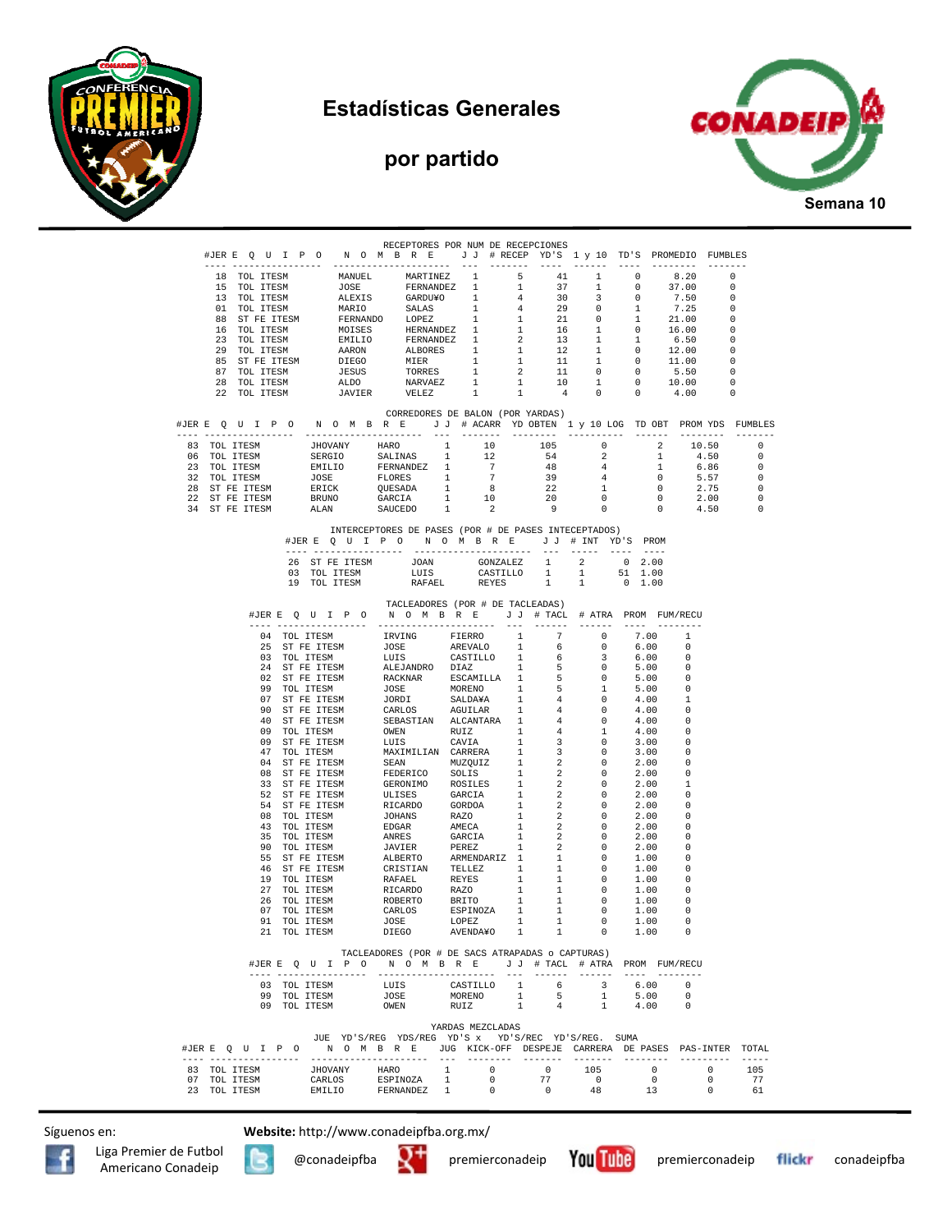



## **por partido**



RECEPTORES POR NUM DE RECEPCIONES #JER E Q U I P O N O M B R E J J # RECEP YD'S 1 y 10 TD'S PROMEDIO FUMBLES ---- ---------------- --------------------- --- ------- ---- ------ ---- -------- ------- 18 TOL ITESM MANUEL MARTINEZ 1 5 41 1 0 8.20 0 15 TOL ITESM JOSE FERNANDEZ 1 1 37 1 0 37.00 0 13 TOL ITESM ALEXIS GARDU¥O 1 4 30 3 0 7.50 0 01 TOL ITESM MARIO SALAS 1 4 29 0 1 7.25 0 88 ST FE ITESM FERNANDO LOPEZ 1 1 21 0 1 21.00 0 16 TOL ITESM MOISES HERNANDEZ 1 1 16 1 0 16.00 0 23 TOL ITESM EMILIO FERNANDEZ 1 2 13 1 1 6.50 0 29 TOL ITESM AARON ALBORES 1 1 12 1 0 12.00 0 85 ST FE ITESM DIEGO MIER 1 1 11 1 0 11.00 0<br>87 TOL ITESM JESUS TORRES 1 2 11 0 0 5.50 0 87 TOL ITESM JESUS TORRES 1 2 11 0 0 5.50 0 28 TOL ITESM ALDO NARVAEZ 1 1 10 1 0 10.00 0 22 TOL ITESM JAVIER VELEZ 1 1 4 0 0 4.00 0 CORREDORES DE BALON (POR YARDAS) #JER E Q U I P O N O M B R E J J # ACARR YD OBTEN 1 y 10 LOG TD OBT PROM YDS FUMBLES ---- ---------------- --------------------- --- ------- -------- ---------- ------ -------- ------- 83 TOL ITESM JHOVANY HARO 1 10 105 0 2 10.50 0 06 TOL ITESM SERGIO SALINAS 1 12 54 2 1 4.50 0 23 TOL ITESM EMILIO FERNANDEZ 1 7 48 4 1 6.86 0 32 TOL ITESM JOSE FLORES 1 7 39 4 0 5.57 0 28 ST FE ITESM ERICK QUESADA 1 8 22 1 0 2.75 0<br>22 ST FE ITESM BRUNO GARCIA 1 10 20 0 0 2.00 0<br>34 ST FE ITESM ALAN SAUCEDO 1 2 9 0 0 4.50 0 22 ST FE ITESM BRUNO GARCIA 1 10 20 0 0 2.00 0 34 ST FE ITESM ALAN SAUCEDO 1 2 9 0 0 4.50 0 INTERCEPTORES DE PASES (POR # DE PASES INTECEPTADOS) #JER E Q U I P O N O M B R E J J # INT YD'S PROM ---- ---------------- --------------------- --- ----- ---- ---- 26 ST FE ITESM JOAN GONZALEZ 1 2 0 2.00<br>03 TOL TTESM LIJIS CASTILLO 1 1 51 1.00  $\begin{tabular}{lllllllllll} \texttt{JOAN} & \texttt{GONZALEZ} & 1 & 2 & 0 & 2.00 \\ \texttt{LUIS} & \texttt{CASTILLO} & 1 & 1 & 51 & 1.00 \\ \texttt{RAFAEL} & \texttt{REYES} & 1 & 1 & 0 & 1.00 \\ \end{tabular}$ 19 TOL ITESM RAFAEL REYES 1 1 TACLEADORES (POR # DE TACLEADAS) #JER E Q U I P O N O M B R E J J # TACL # ATRA PROM FUM/RECU ---- ---------------- --------------------- --- ------ ------ ---- -------- 04 TOL ITESM IRVING FIERRO 1 7 0 7.00 1 25 ST FE ITESM JOSE AREVALO 1 6 0 6.00 0 03 TOL ITESM UULS CASTILLO 1 6 3 6.00 0<br>24 ST\_FE\_ITESM ALEJANDRO DIAZ 1 5 0 5.00 0 24 ST FE ITESM ALEJANDRO DIAZ 1 5 0 5.00 0 02 ST FE ITESM RACKNAR ESCAMILLA 1 5 0 5.00 0 99 TOL ITESM JOSE MORENO 1 5 1 5.00 0 07 ST FE ITESM JORDI SALDA¥A 1 4 0 4.00 1 90 ST FE ITESM CARLOS AGUILAR 1 4 0 4.00 0 40 ST FE ITESM SEBASTIAN ALCANTARA 1 4 0 4.00 0 09 TOL ITESM OWEN RUIZ 1 4 1 4.00 0 09 ST FE ITESM LUIS CAVIA<br>47 TOL ITESM MAXIMILIAN CARRERA 47 TOL ITESM MAXIMILIAN CARRERA 1 3 0 3.00 0 ST FE ITESM SEAN<br>ST FE ITESM FEDERICO 08 ST FE ITESM FEDERICO SOLIS 1 2 0 2.00 0 33 ST FE ITESM GERONIMO ROSILES 1 2 0 2.00 1 52 ST FE ITESM ULISES GARCIA 1 2 0 2.00 0 54 ST FE ITESM RICARDO GORDOA 1 2 0 2.00 0<br>08 TOL ITESM JOHANS RAZO 1 2 0 2.00 0<br>43 TOL ITESM EDGAR AMECA 1 2 0 2.00 0 08 TOL ITESM JOHANS RAZO 1 2 0 2.00 0 43 TOL ITESM EDGAR AMECA 1 2 0 2.00 0 35 TOL ITESM ANRES GARCIA 1 2 0 2.00 0 90 TOL ITESM JAVIER PEREZ 1 2 0 2.00 0 55 ST FE ITESM ALBERTO ARMENDARIZ 1 1 0 1.00 0<br>46 ST FE ITESM CRISTIAN TELLEZ 1 1 0 1.00 0 eddit a control of the team of the ST FE ITES 1 1 0 1.00 0 1.00 0 1.00 0 1.00 0 1.00 0 1.00 0 1.00 0 1.00 0 1.00 0 1.00 0 1.00 0 1.00 0 1.00 0 1.00 0 1.00 0 1.00 0 1.00 0 1.00 0 1.00 0 1.00 0 1.00 0 1.00 0 1.00 0 1.00 0 1. 19 TOL ITESM RAFAEL REYES 1 1 0 1.00 0<br>19 TOL ITESM RAFAEL REYES 1 1 0 1.00 0 27 TOL ITESM RICARDO RAZO 1 1 0 1.00 0 26 TOL ITESM ROBERTO BRITO 1 1 0 1.00 0 07 TOL ITESM CARLOS ESPINOZA 1 1 0 1.00 0<br>91 TOL ITESM JOSE LOPEZ 1 1 0 1.00 0 91 TOL ITESM JOSE LOPEZ 1 1 0 1.00 0 21 TOL ITESM DIEGO AVENDA¥O 1 1 0 1.00 0 TACLEADORES (POR # DE SACS ATRAPADAS o CAPTURAS) #JER E Q U I P O N O M B R E J J # TACL # ATRA PROM FUM/RECU ---- ---------------- --------------------- --- ------ ------ ---- -------- 03 TOL ITESM LUIS CASTILLO 1 6 3 6.00 0 99 TOL ITESM JOSE MORENO 1 5 1 5.00 0 09 TOL ITESM OWEN RUIZ 1 4 1 4.00 0 YARDAS MEZCLADAS JUE YD'S/REG YDS/REG YD'S x YD'S/REC YD'S/REG. SUMA #JER E Q U I P O N O M B R E JUG KICK-OFF DESPEJE CARRERA DE PASES PAS-INTER TOTAL ---- ---------------- --------------------- --- -------- ------- ------- -------- --------- ----- 83 TOL ITESM JHOVANY HARO 1 0 0 105 0 0 105 07 TOL ITESM CARLOS ESPINOZA 1 0 77 0 0 0 77 23 TOL ITESM EMILIO FERNANDEZ 1 0 0 48 13 0 61

Síguenos en: **Website:** http://www.conadeipfba.org.mx/